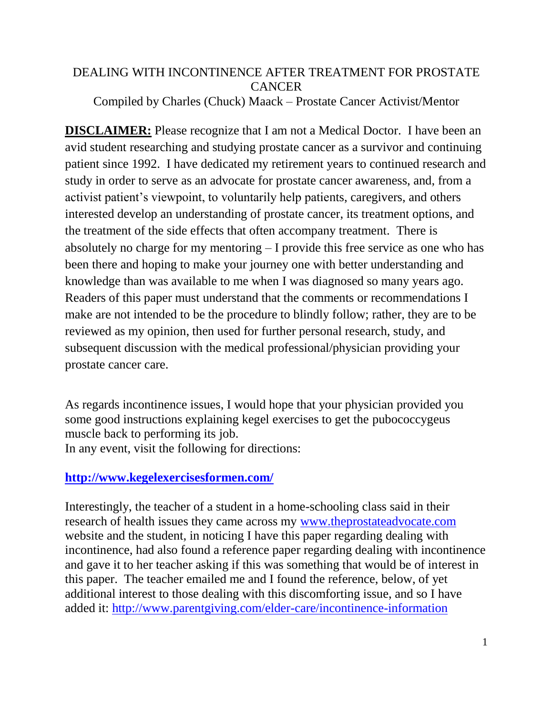# DEALING WITH INCONTINENCE AFTER TREATMENT FOR PROSTATE **CANCER**

Compiled by Charles (Chuck) Maack – Prostate Cancer Activist/Mentor

**DISCLAIMER:** Please recognize that I am not a Medical Doctor. I have been an avid student researching and studying prostate cancer as a survivor and continuing patient since 1992. I have dedicated my retirement years to continued research and study in order to serve as an advocate for prostate cancer awareness, and, from a activist patient's viewpoint, to voluntarily help patients, caregivers, and others interested develop an understanding of prostate cancer, its treatment options, and the treatment of the side effects that often accompany treatment. There is absolutely no charge for my mentoring – I provide this free service as one who has been there and hoping to make your journey one with better understanding and knowledge than was available to me when I was diagnosed so many years ago. Readers of this paper must understand that the comments or recommendations I make are not intended to be the procedure to blindly follow; rather, they are to be reviewed as my opinion, then used for further personal research, study, and subsequent discussion with the medical professional/physician providing your prostate cancer care.

As regards incontinence issues, I would hope that your physician provided you some good instructions explaining kegel exercises to get the pubococcygeus muscle back to performing its job. In any event, visit the following for directions:

## **<http://www.kegelexercisesformen.com/>**

Interestingly, the teacher of a student in a home-schooling class said in their research of health issues they came across my [www.theprostateadvocate.com](http://www.theprostateadvocate.com/) website and the student, in noticing I have this paper regarding dealing with incontinence, had also found a reference paper regarding dealing with incontinence and gave it to her teacher asking if this was something that would be of interest in this paper. The teacher emailed me and I found the reference, below, of yet additional interest to those dealing with this discomforting issue, and so I have added it:<http://www.parentgiving.com/elder-care/incontinence-information>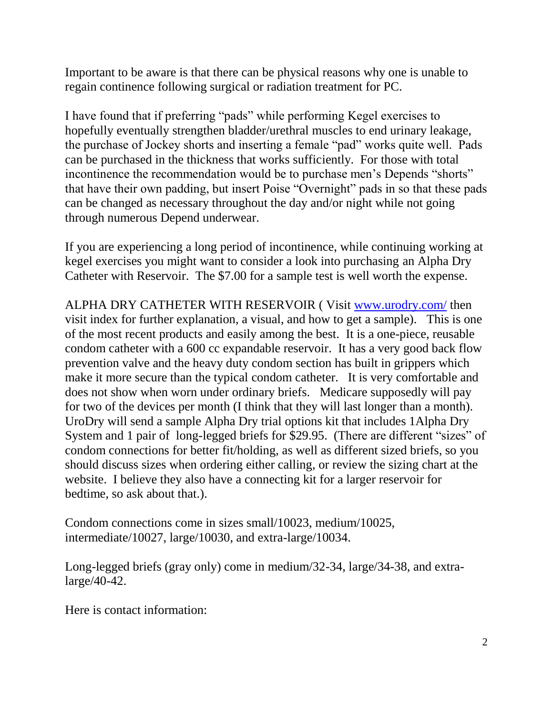Important to be aware is that there can be physical reasons why one is unable to regain continence following surgical or radiation treatment for PC.

I have found that if preferring "pads" while performing Kegel exercises to hopefully eventually strengthen bladder/urethral muscles to end urinary leakage, the purchase of Jockey shorts and inserting a female "pad" works quite well. Pads can be purchased in the thickness that works sufficiently. For those with total incontinence the recommendation would be to purchase men's Depends "shorts" that have their own padding, but insert Poise "Overnight" pads in so that these pads can be changed as necessary throughout the day and/or night while not going through numerous Depend underwear.

If you are experiencing a long period of incontinence, while continuing working at kegel exercises you might want to consider a look into purchasing an Alpha Dry Catheter with Reservoir. The \$7.00 for a sample test is well worth the expense.

ALPHA DRY CATHETER WITH RESERVOIR ( Visit [www.urodry.com/](http://www.urodry.com/) then visit index for further explanation, a visual, and how to get a sample). This is one of the most recent products and easily among the best. It is a one-piece, reusable condom catheter with a 600 cc expandable reservoir. It has a very good back flow prevention valve and the heavy duty condom section has built in grippers which make it more secure than the typical condom catheter. It is very comfortable and does not show when worn under ordinary briefs. Medicare supposedly will pay for two of the devices per month (I think that they will last longer than a month). UroDry will send a sample Alpha Dry trial options kit that includes 1Alpha Dry System and 1 pair of long-legged briefs for \$29.95. (There are different "sizes" of condom connections for better fit/holding, as well as different sized briefs, so you should discuss sizes when ordering either calling, or review the sizing chart at the website. I believe they also have a connecting kit for a larger reservoir for bedtime, so ask about that.).

Condom connections come in sizes small/10023, medium/10025, intermediate/10027, large/10030, and extra-large/10034.

Long-legged briefs (gray only) come in medium/32-34, large/34-38, and extralarge/40-42.

Here is contact information: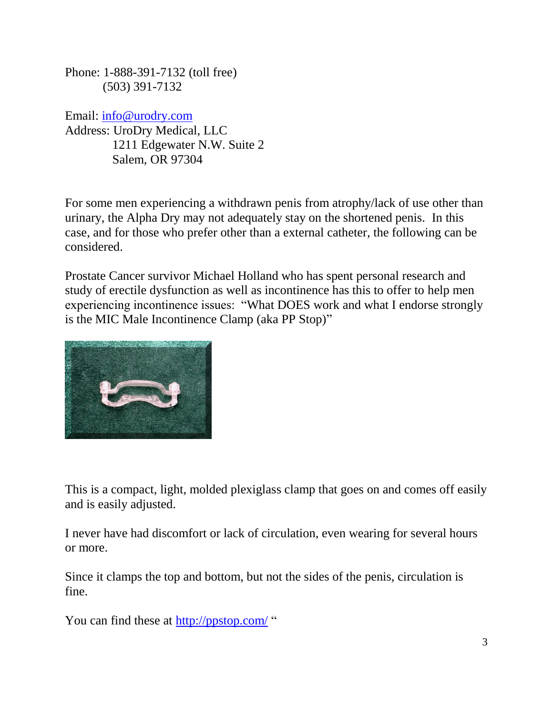Phone: 1-888-391-7132 (toll free) (503) 391-7132

Email: [info@urodry.com](mailto:info@urodry.com) Address: UroDry Medical, LLC 1211 Edgewater N.W. Suite 2 Salem, OR 97304

For some men experiencing a withdrawn penis from atrophy/lack of use other than urinary, the Alpha Dry may not adequately stay on the shortened penis. In this case, and for those who prefer other than a external catheter, the following can be considered.

Prostate Cancer survivor Michael Holland who has spent personal research and study of erectile dysfunction as well as incontinence has this to offer to help men experiencing incontinence issues: "What DOES work and what I endorse strongly is the MIC Male Incontinence Clamp (aka PP Stop)"



This is a compact, light, molded plexiglass clamp that goes on and comes off easily and is easily adjusted.

I never have had discomfort or lack of circulation, even wearing for several hours or more.

Since it clamps the top and bottom, but not the sides of the penis, circulation is fine.

You can find these at<http://ppstop.com/> "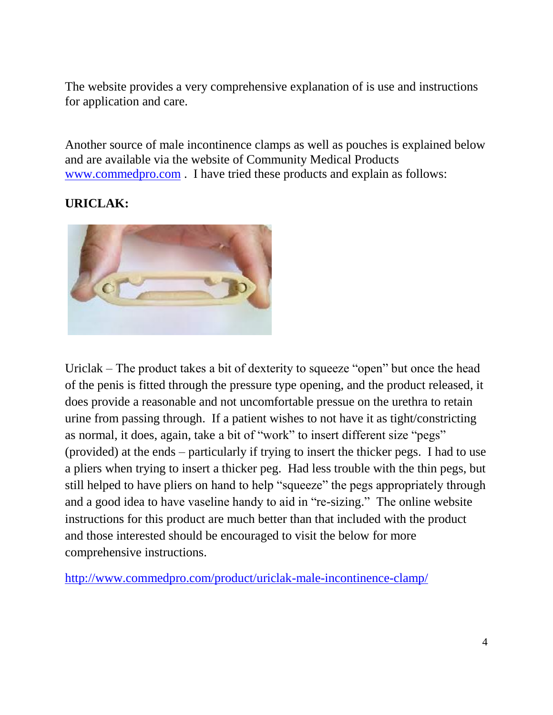The website provides a very comprehensive explanation of is use and instructions for application and care.

Another source of male incontinence clamps as well as pouches is explained below and are available via the website of Community Medical Products [www.commedpro.com](http://www.commedpro.com/) . I have tried these products and explain as follows:

### **URICLAK:**



Uriclak – The product takes a bit of dexterity to squeeze "open" but once the head of the penis is fitted through the pressure type opening, and the product released, it does provide a reasonable and not uncomfortable pressue on the urethra to retain urine from passing through. If a patient wishes to not have it as tight/constricting as normal, it does, again, take a bit of "work" to insert different size "pegs" (provided) at the ends – particularly if trying to insert the thicker pegs. I had to use a pliers when trying to insert a thicker peg. Had less trouble with the thin pegs, but still helped to have pliers on hand to help "squeeze" the pegs appropriately through and a good idea to have vaseline handy to aid in "re-sizing." The online website instructions for this product are much better than that included with the product and those interested should be encouraged to visit the below for more comprehensive instructions.

<http://www.commedpro.com/product/uriclak-male-incontinence-clamp/>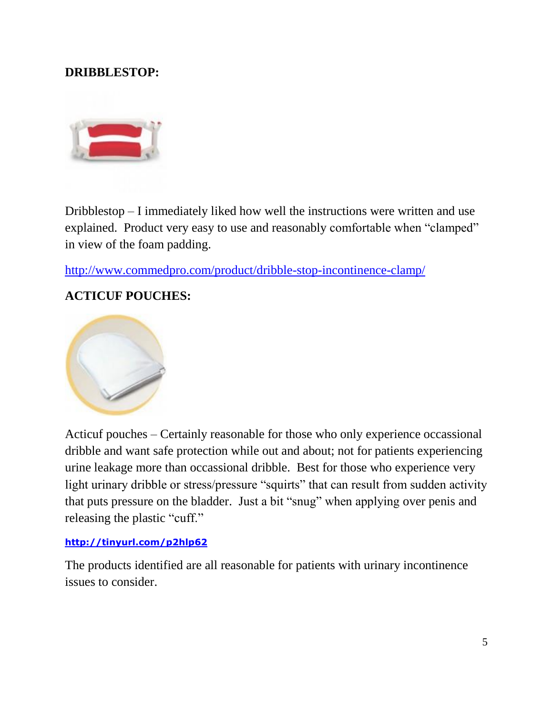## **DRIBBLESTOP:**



Dribblestop – I immediately liked how well the instructions were written and use explained. Product very easy to use and reasonably comfortable when "clamped" in view of the foam padding.

<http://www.commedpro.com/product/dribble-stop-incontinence-clamp/>

#### **ACTICUF POUCHES:**



Acticuf pouches – Certainly reasonable for those who only experience occassional dribble and want safe protection while out and about; not for patients experiencing urine leakage more than occassional dribble. Best for those who experience very light urinary dribble or stress/pressure "squirts" that can result from sudden activity that puts pressure on the bladder. Just a bit "snug" when applying over penis and releasing the plastic "cuff."

#### **<http://tinyurl.com/p2hlp62>**

The products identified are all reasonable for patients with urinary incontinence issues to consider.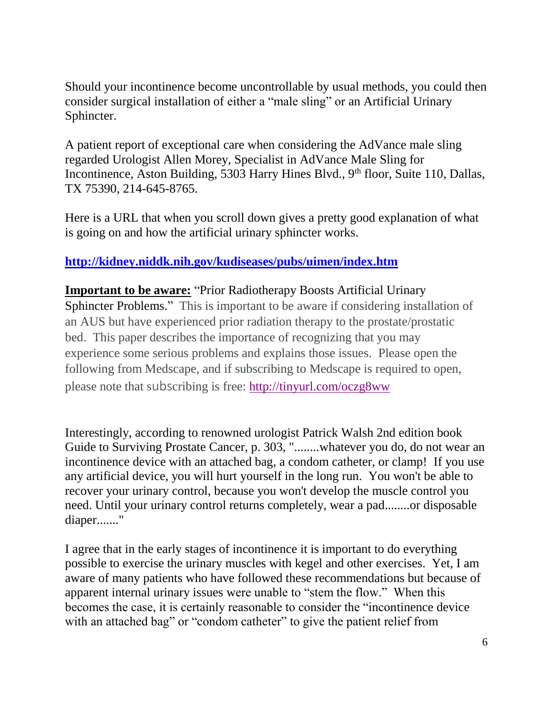Should your incontinence become uncontrollable by usual methods, you could then consider surgical installation of either a "male sling" or an Artificial Urinary Sphincter.

A patient report of exceptional care when considering the AdVance male sling regarded Urologist Allen Morey, Specialist in AdVance Male Sling for Incontinence, Aston Building, 5303 Harry Hines Blvd., 9<sup>th</sup> floor, Suite 110, Dallas, TX 75390, 214-645-8765.

Here is a URL that when you scroll down gives a pretty good explanation of what is going on and how the artificial urinary sphincter works.

### **<http://kidney.niddk.nih.gov/kudiseases/pubs/uimen/index.htm>**

**Important to be aware:** "Prior Radiotherapy Boosts Artificial Urinary Sphincter Problems." This is important to be aware if considering installation of an AUS but have experienced prior radiation therapy to the prostate/prostatic bed. This paper describes the importance of recognizing that you may experience some serious problems and explains those issues. Please open the following from Medscape, and if subscribing to Medscape is required to open, please note that subscribing is free: <http://tinyurl.com/oczg8ww>

Interestingly, according to renowned urologist Patrick Walsh 2nd edition book Guide to Surviving Prostate Cancer, p. 303, "........whatever you do, do not wear an incontinence device with an attached bag, a condom catheter, or clamp! If you use any artificial device, you will hurt yourself in the long run. You won't be able to recover your urinary control, because you won't develop the muscle control you need. Until your urinary control returns completely, wear a pad........or disposable diaper......."

I agree that in the early stages of incontinence it is important to do everything possible to exercise the urinary muscles with kegel and other exercises. Yet, I am aware of many patients who have followed these recommendations but because of apparent internal urinary issues were unable to "stem the flow." When this becomes the case, it is certainly reasonable to consider the "incontinence device with an attached bag" or "condom catheter" to give the patient relief from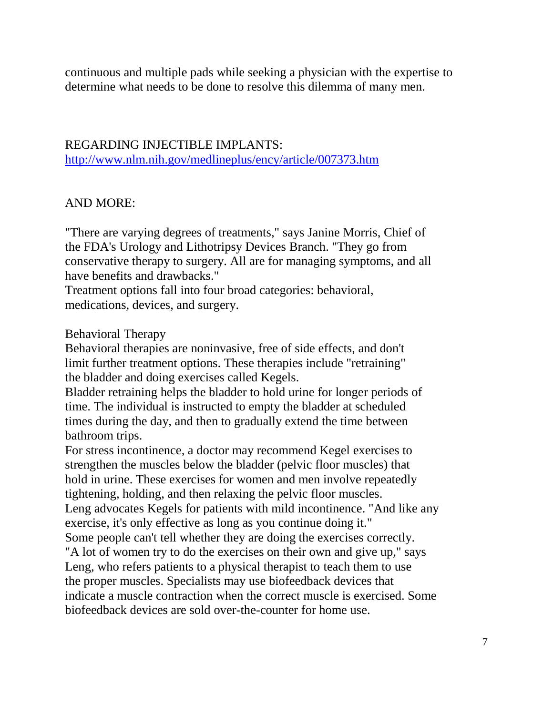continuous and multiple pads while seeking a physician with the expertise to determine what needs to be done to resolve this dilemma of many men.

## REGARDING INJECTIBLE IMPLANTS:

<http://www.nlm.nih.gov/medlineplus/ency/article/007373.htm>

#### AND MORE:

"There are varying degrees of treatments," says Janine Morris, Chief of the FDA's Urology and Lithotripsy Devices Branch. "They go from conservative therapy to surgery. All are for managing symptoms, and all have benefits and drawbacks."

Treatment options fall into four broad categories: behavioral, medications, devices, and surgery.

#### Behavioral Therapy

Behavioral therapies are noninvasive, free of side effects, and don't limit further treatment options. These therapies include "retraining" the bladder and doing exercises called Kegels.

Bladder retraining helps the bladder to hold urine for longer periods of time. The individual is instructed to empty the bladder at scheduled times during the day, and then to gradually extend the time between bathroom trips.

For stress incontinence, a doctor may recommend Kegel exercises to strengthen the muscles below the bladder (pelvic floor muscles) that hold in urine. These exercises for women and men involve repeatedly tightening, holding, and then relaxing the pelvic floor muscles. Leng advocates Kegels for patients with mild incontinence. "And like any exercise, it's only effective as long as you continue doing it." Some people can't tell whether they are doing the exercises correctly.

"A lot of women try to do the exercises on their own and give up," says Leng, who refers patients to a physical therapist to teach them to use the proper muscles. Specialists may use biofeedback devices that indicate a muscle contraction when the correct muscle is exercised. Some biofeedback devices are sold over-the-counter for home use.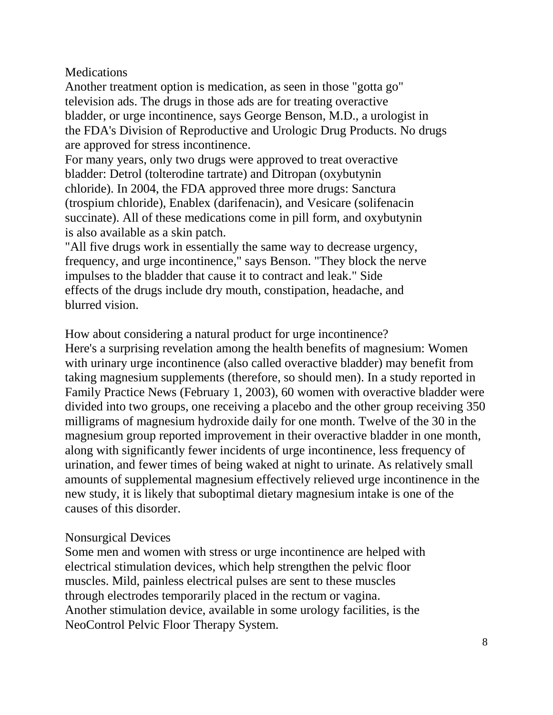### **Medications**

Another treatment option is medication, as seen in those "gotta go" television ads. The drugs in those ads are for treating overactive bladder, or urge incontinence, says George Benson, M.D., a urologist in the FDA's Division of Reproductive and Urologic Drug Products. No drugs are approved for stress incontinence.

For many years, only two drugs were approved to treat overactive bladder: Detrol (tolterodine tartrate) and Ditropan (oxybutynin chloride). In 2004, the FDA approved three more drugs: Sanctura (trospium chloride), Enablex (darifenacin), and Vesicare (solifenacin succinate). All of these medications come in pill form, and oxybutynin is also available as a skin patch.

"All five drugs work in essentially the same way to decrease urgency, frequency, and urge incontinence," says Benson. "They block the nerve impulses to the bladder that cause it to contract and leak." Side effects of the drugs include dry mouth, constipation, headache, and blurred vision.

How about considering a natural product for urge incontinence?

Here's a surprising revelation among the health benefits of magnesium: Women with urinary urge incontinence (also called overactive bladder) may benefit from taking magnesium supplements (therefore, so should men). In a study reported in Family Practice News (February 1, 2003), 60 women with overactive bladder were divided into two groups, one receiving a placebo and the other group receiving 350 milligrams of magnesium hydroxide daily for one month. Twelve of the 30 in the magnesium group reported improvement in their overactive bladder in one month, along with significantly fewer incidents of urge incontinence, less frequency of urination, and fewer times of being waked at night to urinate. As relatively small amounts of supplemental magnesium effectively relieved urge incontinence in the new study, it is likely that suboptimal dietary magnesium intake is one of the causes of this disorder.

#### Nonsurgical Devices

Some men and women with stress or urge incontinence are helped with electrical stimulation devices, which help strengthen the pelvic floor muscles. Mild, painless electrical pulses are sent to these muscles through electrodes temporarily placed in the rectum or vagina. Another stimulation device, available in some urology facilities, is the NeoControl Pelvic Floor Therapy System.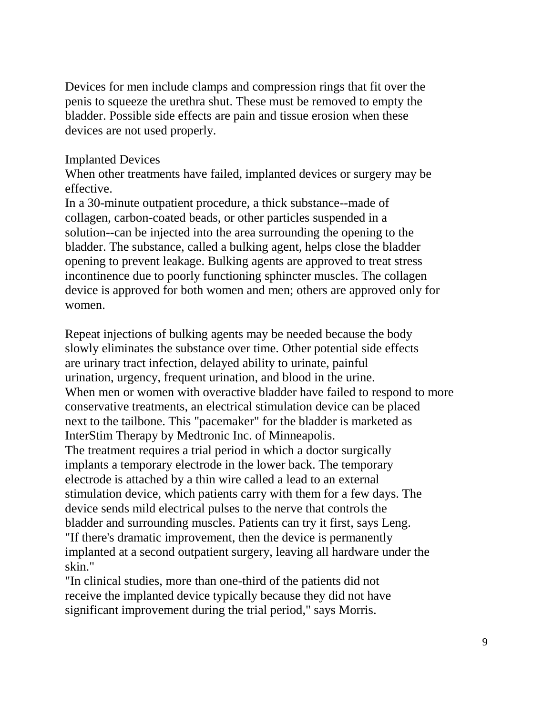Devices for men include clamps and compression rings that fit over the penis to squeeze the urethra shut. These must be removed to empty the bladder. Possible side effects are pain and tissue erosion when these devices are not used properly.

#### Implanted Devices

When other treatments have failed, implanted devices or surgery may be effective.

In a 30-minute outpatient procedure, a thick substance--made of collagen, carbon-coated beads, or other particles suspended in a solution--can be injected into the area surrounding the opening to the bladder. The substance, called a bulking agent, helps close the bladder opening to prevent leakage. Bulking agents are approved to treat stress incontinence due to poorly functioning sphincter muscles. The collagen device is approved for both women and men; others are approved only for women.

Repeat injections of bulking agents may be needed because the body slowly eliminates the substance over time. Other potential side effects are urinary tract infection, delayed ability to urinate, painful urination, urgency, frequent urination, and blood in the urine. When men or women with overactive bladder have failed to respond to more conservative treatments, an electrical stimulation device can be placed next to the tailbone. This "pacemaker" for the bladder is marketed as InterStim Therapy by Medtronic Inc. of Minneapolis. The treatment requires a trial period in which a doctor surgically implants a temporary electrode in the lower back. The temporary electrode is attached by a thin wire called a lead to an external stimulation device, which patients carry with them for a few days. The device sends mild electrical pulses to the nerve that controls the bladder and surrounding muscles. Patients can try it first, says Leng. "If there's dramatic improvement, then the device is permanently implanted at a second outpatient surgery, leaving all hardware under the skin."

"In clinical studies, more than one-third of the patients did not receive the implanted device typically because they did not have significant improvement during the trial period," says Morris.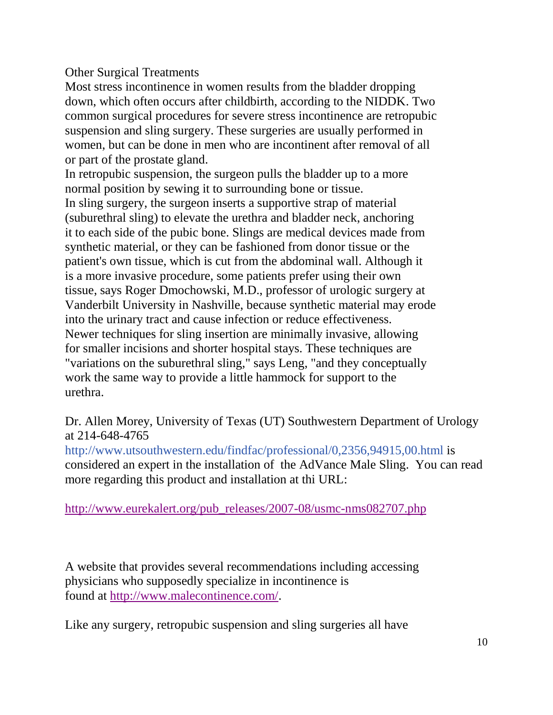Other Surgical Treatments

Most stress incontinence in women results from the bladder dropping down, which often occurs after childbirth, according to the NIDDK. Two common surgical procedures for severe stress incontinence are retropubic suspension and sling surgery. These surgeries are usually performed in women, but can be done in men who are incontinent after removal of all or part of the prostate gland.

In retropubic suspension, the surgeon pulls the bladder up to a more normal position by sewing it to surrounding bone or tissue.

In sling surgery, the surgeon inserts a supportive strap of material (suburethral sling) to elevate the urethra and bladder neck, anchoring it to each side of the pubic bone. Slings are medical devices made from synthetic material, or they can be fashioned from donor tissue or the patient's own tissue, which is cut from the abdominal wall. Although it is a more invasive procedure, some patients prefer using their own tissue, says Roger Dmochowski, M.D., professor of urologic surgery at Vanderbilt University in Nashville, because synthetic material may erode into the urinary tract and cause infection or reduce effectiveness. Newer techniques for sling insertion are minimally invasive, allowing for smaller incisions and shorter hospital stays. These techniques are "variations on the suburethral sling," says Leng, "and they conceptually work the same way to provide a little hammock for support to the urethra.

Dr. Allen Morey, University of Texas (UT) Southwestern Department of Urology at 214-648-4765

<http://www.utsouthwestern.edu/findfac/professional/0,2356,94915,00.html> is considered an expert in the installation of the AdVance Male Sling. You can read more regarding this product and installation at thi URL:

[http://www.eurekalert.org/pub\\_releases/2007-08/usmc-nms082707.php](http://www.eurekalert.org/pub_releases/2007-08/usmc-nms082707.php)

A website that provides several recommendations including accessing physicians who supposedly specialize in incontinence is found at [http://www.malecontinence.com/.](http://www.malecontinence.com/)

Like any surgery, retropubic suspension and sling surgeries all have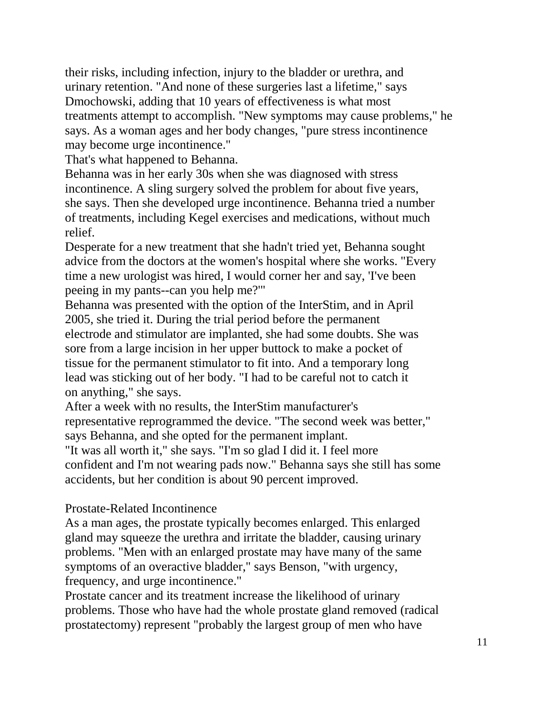their risks, including infection, injury to the bladder or urethra, and urinary retention. "And none of these surgeries last a lifetime," says Dmochowski, adding that 10 years of effectiveness is what most treatments attempt to accomplish. "New symptoms may cause problems," he says. As a woman ages and her body changes, "pure stress incontinence may become urge incontinence."

That's what happened to Behanna.

Behanna was in her early 30s when she was diagnosed with stress incontinence. A sling surgery solved the problem for about five years, she says. Then she developed urge incontinence. Behanna tried a number of treatments, including Kegel exercises and medications, without much relief.

Desperate for a new treatment that she hadn't tried yet, Behanna sought advice from the doctors at the women's hospital where she works. "Every time a new urologist was hired, I would corner her and say, 'I've been peeing in my pants--can you help me?'"

Behanna was presented with the option of the InterStim, and in April 2005, she tried it. During the trial period before the permanent electrode and stimulator are implanted, she had some doubts. She was sore from a large incision in her upper buttock to make a pocket of tissue for the permanent stimulator to fit into. And a temporary long lead was sticking out of her body. "I had to be careful not to catch it on anything," she says.

After a week with no results, the InterStim manufacturer's representative reprogrammed the device. "The second week was better," says Behanna, and she opted for the permanent implant.

"It was all worth it," she says. "I'm so glad I did it. I feel more confident and I'm not wearing pads now." Behanna says she still has some accidents, but her condition is about 90 percent improved.

#### Prostate-Related Incontinence

As a man ages, the prostate typically becomes enlarged. This enlarged gland may squeeze the urethra and irritate the bladder, causing urinary problems. "Men with an enlarged prostate may have many of the same symptoms of an overactive bladder," says Benson, "with urgency, frequency, and urge incontinence."

Prostate cancer and its treatment increase the likelihood of urinary problems. Those who have had the whole prostate gland removed (radical prostatectomy) represent "probably the largest group of men who have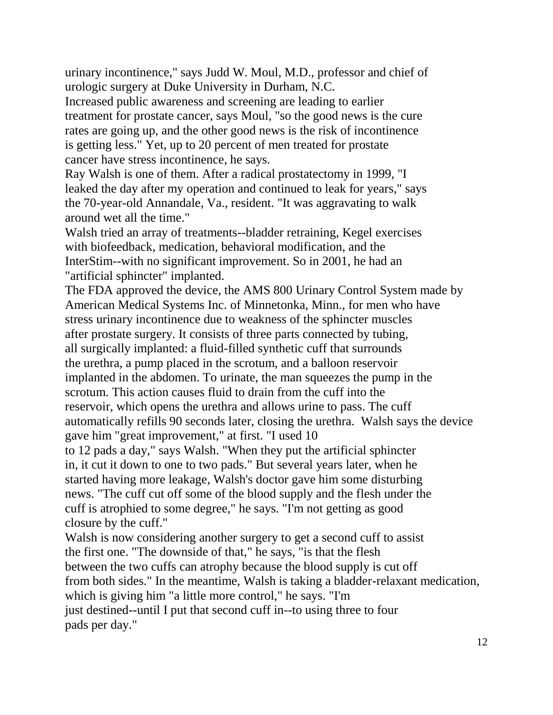urinary incontinence," says Judd W. Moul, M.D., professor and chief of urologic surgery at Duke University in Durham, N.C.

Increased public awareness and screening are leading to earlier treatment for prostate cancer, says Moul, "so the good news is the cure rates are going up, and the other good news is the risk of incontinence is getting less." Yet, up to 20 percent of men treated for prostate cancer have stress incontinence, he says.

Ray Walsh is one of them. After a radical prostatectomy in 1999, "I leaked the day after my operation and continued to leak for years," says the 70-year-old Annandale, Va., resident. "It was aggravating to walk around wet all the time."

Walsh tried an array of treatments--bladder retraining, Kegel exercises with biofeedback, medication, behavioral modification, and the InterStim--with no significant improvement. So in 2001, he had an "artificial sphincter" implanted.

The FDA approved the device, the AMS 800 Urinary Control System made by American Medical Systems Inc. of Minnetonka, Minn., for men who have stress urinary incontinence due to weakness of the sphincter muscles after prostate surgery. It consists of three parts connected by tubing, all surgically implanted: a fluid-filled synthetic cuff that surrounds the urethra, a pump placed in the scrotum, and a balloon reservoir implanted in the abdomen. To urinate, the man squeezes the pump in the scrotum. This action causes fluid to drain from the cuff into the reservoir, which opens the urethra and allows urine to pass. The cuff automatically refills 90 seconds later, closing the urethra. Walsh says the device gave him "great improvement," at first. "I used 10

to 12 pads a day," says Walsh. "When they put the artificial sphincter in, it cut it down to one to two pads." But several years later, when he started having more leakage, Walsh's doctor gave him some disturbing news. "The cuff cut off some of the blood supply and the flesh under the cuff is atrophied to some degree," he says. "I'm not getting as good closure by the cuff."

Walsh is now considering another surgery to get a second cuff to assist the first one. "The downside of that," he says, "is that the flesh between the two cuffs can atrophy because the blood supply is cut off from both sides." In the meantime, Walsh is taking a bladder-relaxant medication, which is giving him "a little more control," he says. "I'm just destined--until I put that second cuff in--to using three to four pads per day."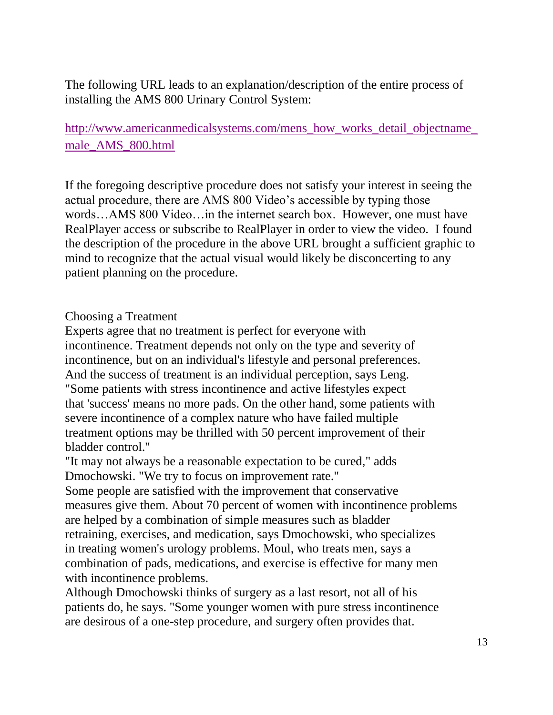The following URL leads to an explanation/description of the entire process of installing the AMS 800 Urinary Control System:

[http://www.americanmedicalsystems.com/mens\\_how\\_works\\_detail\\_objectname\\_](http://www.americanmedicalsystems.com/mens_how_works_detail_objectname_male_AMS_800.html) [male\\_AMS\\_800.html](http://www.americanmedicalsystems.com/mens_how_works_detail_objectname_male_AMS_800.html)

If the foregoing descriptive procedure does not satisfy your interest in seeing the actual procedure, there are AMS 800 Video's accessible by typing those words…AMS 800 Video…in the internet search box. However, one must have RealPlayer access or subscribe to RealPlayer in order to view the video. I found the description of the procedure in the above URL brought a sufficient graphic to mind to recognize that the actual visual would likely be disconcerting to any patient planning on the procedure.

#### Choosing a Treatment

Experts agree that no treatment is perfect for everyone with incontinence. Treatment depends not only on the type and severity of incontinence, but on an individual's lifestyle and personal preferences. And the success of treatment is an individual perception, says Leng. "Some patients with stress incontinence and active lifestyles expect that 'success' means no more pads. On the other hand, some patients with severe incontinence of a complex nature who have failed multiple treatment options may be thrilled with 50 percent improvement of their bladder control."

"It may not always be a reasonable expectation to be cured," adds Dmochowski. "We try to focus on improvement rate."

Some people are satisfied with the improvement that conservative measures give them. About 70 percent of women with incontinence problems are helped by a combination of simple measures such as bladder retraining, exercises, and medication, says Dmochowski, who specializes in treating women's urology problems. Moul, who treats men, says a combination of pads, medications, and exercise is effective for many men with incontinence problems.

Although Dmochowski thinks of surgery as a last resort, not all of his patients do, he says. "Some younger women with pure stress incontinence are desirous of a one-step procedure, and surgery often provides that.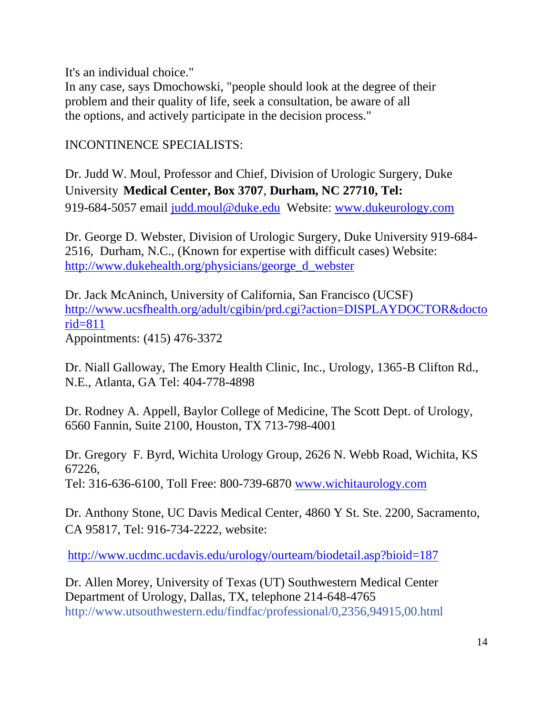It's an individual choice."

In any case, says Dmochowski, "people should look at the degree of their problem and their quality of life, seek a consultation, be aware of all the options, and actively participate in the decision process."

INCONTINENCE SPECIALISTS:

Dr. Judd W. Moul, Professor and Chief, Division of Urologic Surgery, Duke University **Medical Center, Box 3707**, **Durham, NC 27710, Tel:** 919-684-5057 email [judd.moul@duke.edu](mailto:judd.moul@duke.edu) Website: [www.dukeurology.com](http://www.dukeurology.com/)

Dr. George D. Webster, Division of Urologic Surgery, Duke University 919-684- 2516, Durham, N.C., (Known for expertise with difficult cases) Website: [http://www.dukehealth.org/physicians/george\\_d\\_webster](http://www.dukehealth.org/physicians/george_d_webster)

Dr. Jack McAninch, University of California, San Francisco (UCSF) [http://www.ucsfhealth.org/adult/cgibin/prd.cgi?action=DISPLAYDOCTOR&docto](http://www.ucsfhealth.org/adult/cgibin/prd.cgi?action=DISPLAYDOCTOR&doctorid=811) [rid=811](http://www.ucsfhealth.org/adult/cgibin/prd.cgi?action=DISPLAYDOCTOR&doctorid=811) Appointments: (415) 476-3372

Dr. Niall Galloway, The Emory Health Clinic, Inc., Urology, 1365-B Clifton Rd., N.E., Atlanta, GA Tel: 404-778-4898

Dr. Rodney A. Appell, Baylor College of Medicine, The Scott Dept. of Urology, 6560 Fannin, Suite 2100, Houston, TX 713-798-4001

Dr. Gregory F. Byrd, Wichita Urology Group, 2626 N. Webb Road, Wichita, KS 67226, Tel: 316-636-6100, Toll Free: 800-739-6870 [www.wichitaurology.com](http://www.wichitaurology.com/)

Dr. Anthony Stone, UC Davis Medical Center, 4860 Y St. Ste. 2200, Sacramento, CA 95817, Tel: 916-734-2222, website:

<http://www.ucdmc.ucdavis.edu/urology/ourteam/biodetail.asp?bioid=187>

Dr. Allen Morey, University of Texas (UT) Southwestern Medical Center Department of Urology, Dallas, TX, telephone 214-648-4765 <http://www.utsouthwestern.edu/findfac/professional/0,2356,94915,00.html>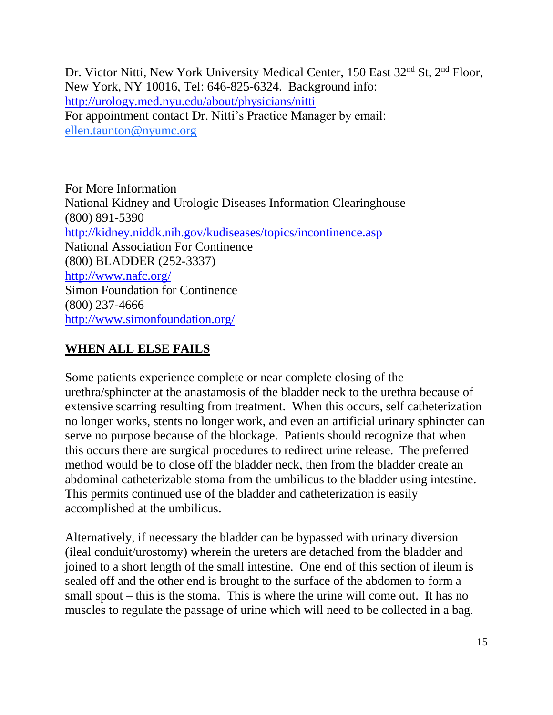Dr. Victor Nitti, New York University Medical Center, 150 East 32<sup>nd</sup> St, 2<sup>nd</sup> Floor, New York, NY 10016, Tel: 646-825-6324. Background info: <http://urology.med.nyu.edu/about/physicians/nitti> For appointment contact Dr. Nitti's Practice Manager by email: [ellen.taunton@nyumc.org](mailto:ellen.taunton@nyumc.org)

For More Information National Kidney and Urologic Diseases Information Clearinghouse (800) 891-5390 <http://kidney.niddk.nih.gov/kudiseases/topics/incontinence.asp> National Association For Continence (800) BLADDER (252-3337) <http://www.nafc.org/> Simon Foundation for Continence (800) 237-4666 <http://www.simonfoundation.org/>

## **WHEN ALL ELSE FAILS**

Some patients experience complete or near complete closing of the urethra/sphincter at the anastamosis of the bladder neck to the urethra because of extensive scarring resulting from treatment. When this occurs, self catheterization no longer works, stents no longer work, and even an artificial urinary sphincter can serve no purpose because of the blockage. Patients should recognize that when this occurs there are surgical procedures to redirect urine release. The preferred method would be to close off the bladder neck, then from the bladder create an abdominal catheterizable stoma from the umbilicus to the bladder using intestine. This permits continued use of the bladder and catheterization is easily accomplished at the umbilicus.

Alternatively, if necessary the bladder can be bypassed with urinary diversion (ileal conduit/urostomy) wherein the ureters are detached from the bladder and joined to a short length of the small intestine. One end of this section of ileum is sealed off and the other end is brought to the surface of the abdomen to form a small spout – this is the stoma. This is where the urine will come out. It has no muscles to regulate the passage of urine which will need to be collected in a bag.